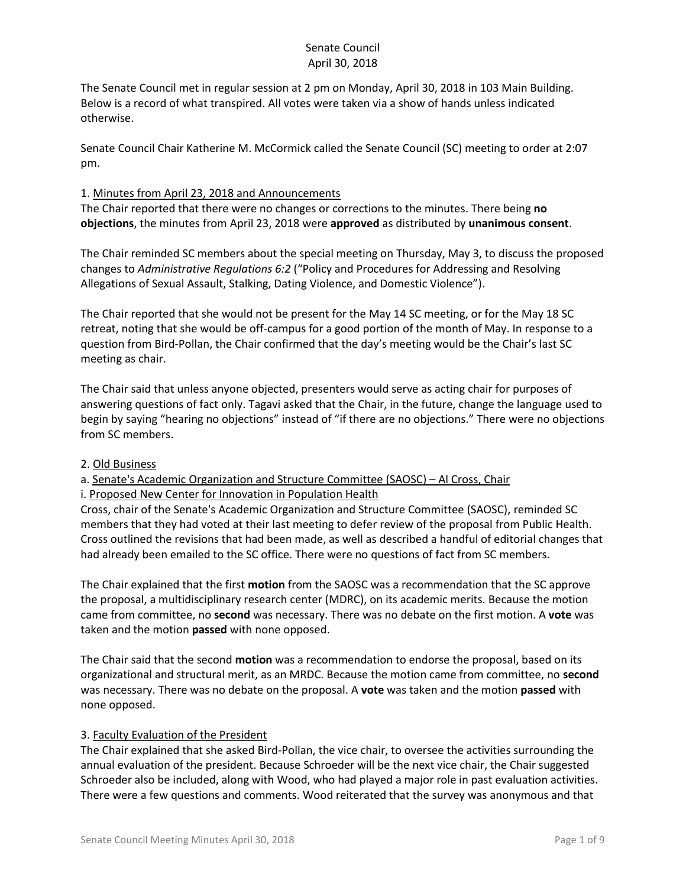The Senate Council met in regular session at 2 pm on Monday, April 30, 2018 in 103 Main Building. Below is a record of what transpired. All votes were taken via a show of hands unless indicated otherwise.

Senate Council Chair Katherine M. McCormick called the Senate Council (SC) meeting to order at 2:07 pm.

#### 1. Minutes from April 23, 2018 and Announcements

The Chair reported that there were no changes or corrections to the minutes. There being **no objections**, the minutes from April 23, 2018 were **approved** as distributed by **unanimous consent**.

The Chair reminded SC members about the special meeting on Thursday, May 3, to discuss the proposed changes to *Administrative Regulations 6:2* ("Policy and Procedures for Addressing and Resolving Allegations of Sexual Assault, Stalking, Dating Violence, and Domestic Violence").

The Chair reported that she would not be present for the May 14 SC meeting, or for the May 18 SC retreat, noting that she would be off-campus for a good portion of the month of May. In response to a question from Bird-Pollan, the Chair confirmed that the day's meeting would be the Chair's last SC meeting as chair.

The Chair said that unless anyone objected, presenters would serve as acting chair for purposes of answering questions of fact only. Tagavi asked that the Chair, in the future, change the language used to begin by saying "hearing no objections" instead of "if there are no objections." There were no objections from SC members.

#### 2. Old Business

a. Senate's Academic Organization and Structure Committee (SAOSC) – Al Cross, Chair

i. Proposed New Center for Innovation in Population Health Cross, chair of the Senate's Academic Organization and Structure Committee (SAOSC), reminded SC

members that they had voted at their last meeting to defer review of the proposal from Public Health. Cross outlined the revisions that had been made, as well as described a handful of editorial changes that had already been emailed to the SC office. There were no questions of fact from SC members.

The Chair explained that the first **motion** from the SAOSC was a recommendation that the SC approve the proposal, a multidisciplinary research center (MDRC), on its academic merits. Because the motion came from committee, no **second** was necessary. There was no debate on the first motion. A **vote** was taken and the motion **passed** with none opposed.

The Chair said that the second **motion** was a recommendation to endorse the proposal, based on its organizational and structural merit, as an MRDC. Because the motion came from committee, no **second** was necessary. There was no debate on the proposal. A **vote** was taken and the motion **passed** with none opposed.

#### 3. Faculty Evaluation of the President

The Chair explained that she asked Bird-Pollan, the vice chair, to oversee the activities surrounding the annual evaluation of the president. Because Schroeder will be the next vice chair, the Chair suggested Schroeder also be included, along with Wood, who had played a major role in past evaluation activities. There were a few questions and comments. Wood reiterated that the survey was anonymous and that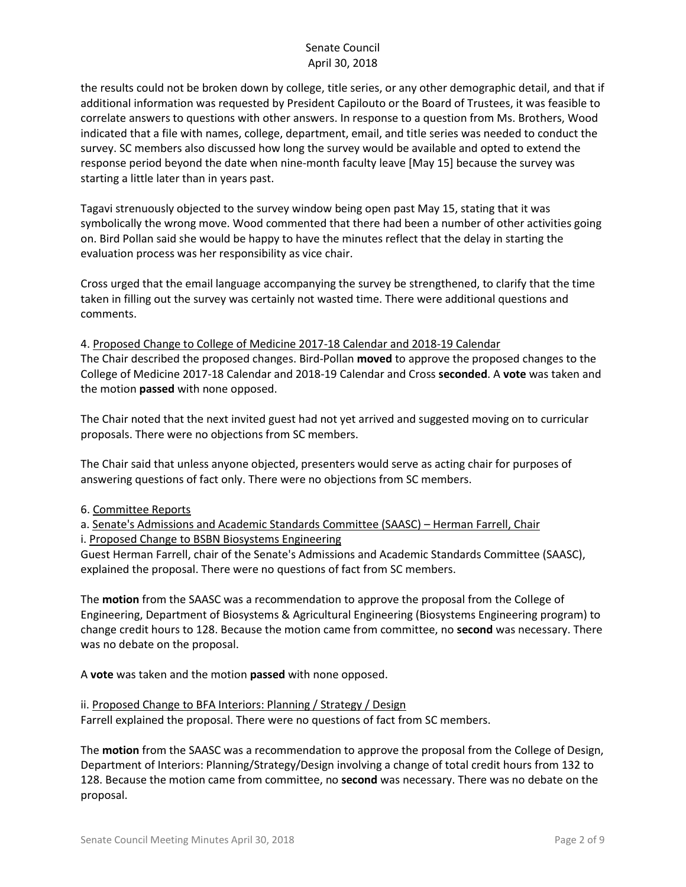the results could not be broken down by college, title series, or any other demographic detail, and that if additional information was requested by President Capilouto or the Board of Trustees, it was feasible to correlate answers to questions with other answers. In response to a question from Ms. Brothers, Wood indicated that a file with names, college, department, email, and title series was needed to conduct the survey. SC members also discussed how long the survey would be available and opted to extend the response period beyond the date when nine-month faculty leave [May 15] because the survey was starting a little later than in years past.

Tagavi strenuously objected to the survey window being open past May 15, stating that it was symbolically the wrong move. Wood commented that there had been a number of other activities going on. Bird Pollan said she would be happy to have the minutes reflect that the delay in starting the evaluation process was her responsibility as vice chair.

Cross urged that the email language accompanying the survey be strengthened, to clarify that the time taken in filling out the survey was certainly not wasted time. There were additional questions and comments.

4. Proposed Change to College of Medicine 2017-18 Calendar and 2018-19 Calendar The Chair described the proposed changes. Bird-Pollan **moved** to approve the proposed changes to the College of Medicine 2017-18 Calendar and 2018-19 Calendar and Cross **seconded**. A **vote** was taken and the motion **passed** with none opposed.

The Chair noted that the next invited guest had not yet arrived and suggested moving on to curricular proposals. There were no objections from SC members.

The Chair said that unless anyone objected, presenters would serve as acting chair for purposes of answering questions of fact only. There were no objections from SC members.

6. Committee Reports

a. Senate's Admissions and Academic Standards Committee (SAASC) – Herman Farrell, Chair i. Proposed Change to BSBN Biosystems Engineering

Guest Herman Farrell, chair of the Senate's Admissions and Academic Standards Committee (SAASC), explained the proposal. There were no questions of fact from SC members.

The **motion** from the SAASC was a recommendation to approve the proposal from the College of Engineering, Department of Biosystems & Agricultural Engineering (Biosystems Engineering program) to change credit hours to 128. Because the motion came from committee, no **second** was necessary. There was no debate on the proposal.

A **vote** was taken and the motion **passed** with none opposed.

ii. Proposed Change to BFA Interiors: Planning / Strategy / Design Farrell explained the proposal. There were no questions of fact from SC members.

The **motion** from the SAASC was a recommendation to approve the proposal from the College of Design, Department of Interiors: Planning/Strategy/Design involving a change of total credit hours from 132 to 128. Because the motion came from committee, no **second** was necessary. There was no debate on the proposal.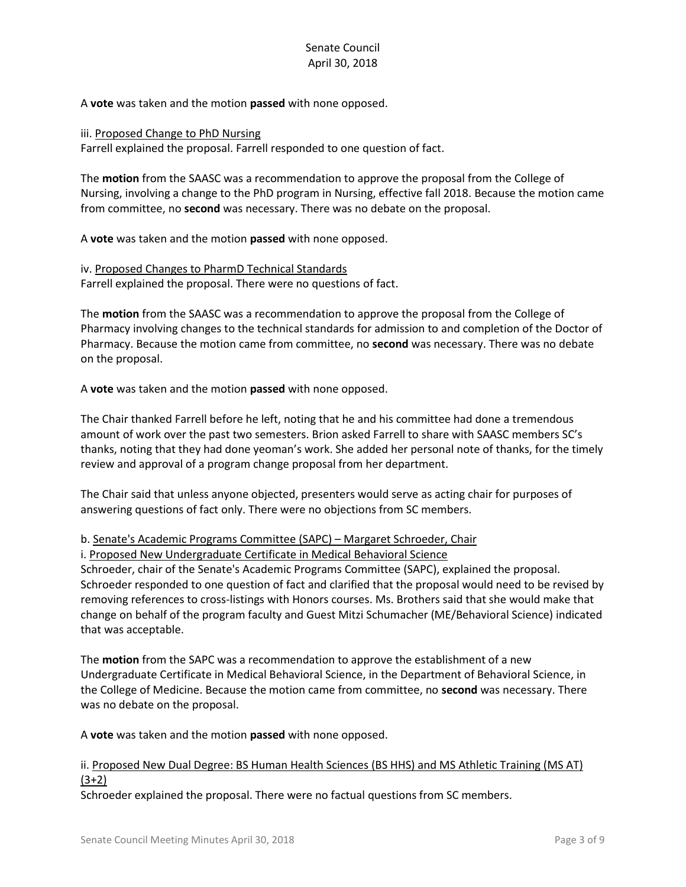A **vote** was taken and the motion **passed** with none opposed.

iii. Proposed Change to PhD Nursing

Farrell explained the proposal. Farrell responded to one question of fact.

The **motion** from the SAASC was a recommendation to approve the proposal from the College of Nursing, involving a change to the PhD program in Nursing, effective fall 2018. Because the motion came from committee, no **second** was necessary. There was no debate on the proposal.

A **vote** was taken and the motion **passed** with none opposed.

iv. Proposed Changes to PharmD Technical Standards Farrell explained the proposal. There were no questions of fact.

The **motion** from the SAASC was a recommendation to approve the proposal from the College of Pharmacy involving changes to the technical standards for admission to and completion of the Doctor of Pharmacy. Because the motion came from committee, no **second** was necessary. There was no debate on the proposal.

A **vote** was taken and the motion **passed** with none opposed.

The Chair thanked Farrell before he left, noting that he and his committee had done a tremendous amount of work over the past two semesters. Brion asked Farrell to share with SAASC members SC's thanks, noting that they had done yeoman's work. She added her personal note of thanks, for the timely review and approval of a program change proposal from her department.

The Chair said that unless anyone objected, presenters would serve as acting chair for purposes of answering questions of fact only. There were no objections from SC members.

#### b. Senate's Academic Programs Committee (SAPC) – Margaret Schroeder, Chair

i. Proposed New Undergraduate Certificate in Medical Behavioral Science

Schroeder, chair of the Senate's Academic Programs Committee (SAPC), explained the proposal. Schroeder responded to one question of fact and clarified that the proposal would need to be revised by removing references to cross-listings with Honors courses. Ms. Brothers said that she would make that change on behalf of the program faculty and Guest Mitzi Schumacher (ME/Behavioral Science) indicated that was acceptable.

The **motion** from the SAPC was a recommendation to approve the establishment of a new Undergraduate Certificate in Medical Behavioral Science, in the Department of Behavioral Science, in the College of Medicine. Because the motion came from committee, no **second** was necessary. There was no debate on the proposal.

A **vote** was taken and the motion **passed** with none opposed.

#### ii. Proposed New Dual Degree: BS Human Health Sciences (BS HHS) and MS Athletic Training (MS AT) (3+2)

Schroeder explained the proposal. There were no factual questions from SC members.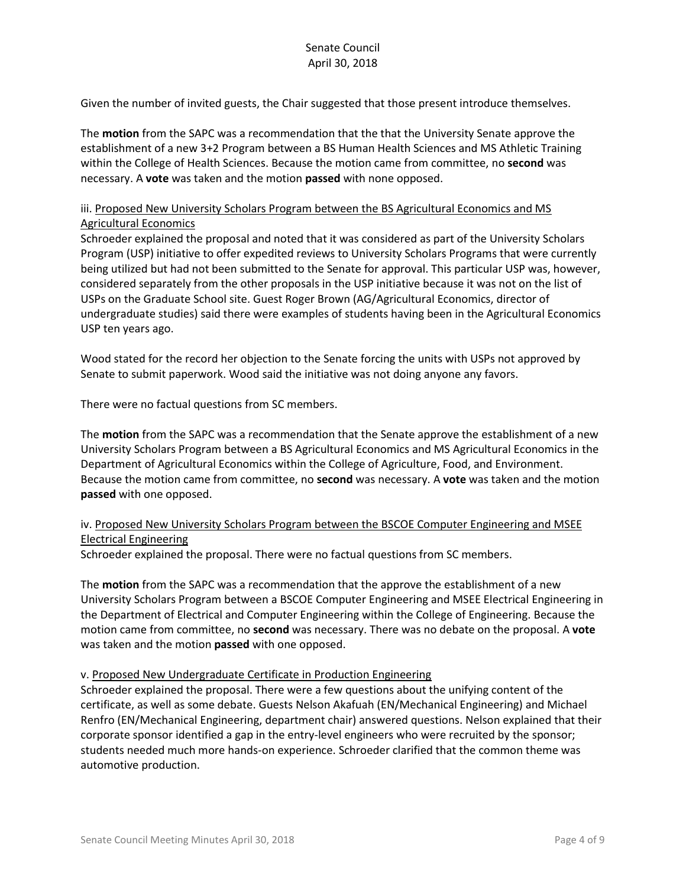Given the number of invited guests, the Chair suggested that those present introduce themselves.

The **motion** from the SAPC was a recommendation that the that the University Senate approve the establishment of a new 3+2 Program between a BS Human Health Sciences and MS Athletic Training within the College of Health Sciences. Because the motion came from committee, no **second** was necessary. A **vote** was taken and the motion **passed** with none opposed.

#### iii. Proposed New University Scholars Program between the BS Agricultural Economics and MS Agricultural Economics

Schroeder explained the proposal and noted that it was considered as part of the University Scholars Program (USP) initiative to offer expedited reviews to University Scholars Programs that were currently being utilized but had not been submitted to the Senate for approval. This particular USP was, however, considered separately from the other proposals in the USP initiative because it was not on the list of USPs on the Graduate School site. Guest Roger Brown (AG/Agricultural Economics, director of undergraduate studies) said there were examples of students having been in the Agricultural Economics USP ten years ago.

Wood stated for the record her objection to the Senate forcing the units with USPs not approved by Senate to submit paperwork. Wood said the initiative was not doing anyone any favors.

There were no factual questions from SC members.

The **motion** from the SAPC was a recommendation that the Senate approve the establishment of a new University Scholars Program between a BS Agricultural Economics and MS Agricultural Economics in the Department of Agricultural Economics within the College of Agriculture, Food, and Environment. Because the motion came from committee, no **second** was necessary. A **vote** was taken and the motion **passed** with one opposed.

# iv. Proposed New University Scholars Program between the BSCOE Computer Engineering and MSEE Electrical Engineering

Schroeder explained the proposal. There were no factual questions from SC members.

The **motion** from the SAPC was a recommendation that the approve the establishment of a new University Scholars Program between a BSCOE Computer Engineering and MSEE Electrical Engineering in the Department of Electrical and Computer Engineering within the College of Engineering. Because the motion came from committee, no **second** was necessary. There was no debate on the proposal. A **vote** was taken and the motion **passed** with one opposed.

#### v. Proposed New Undergraduate Certificate in Production Engineering

Schroeder explained the proposal. There were a few questions about the unifying content of the certificate, as well as some debate. Guests Nelson Akafuah (EN/Mechanical Engineering) and Michael Renfro (EN/Mechanical Engineering, department chair) answered questions. Nelson explained that their corporate sponsor identified a gap in the entry-level engineers who were recruited by the sponsor; students needed much more hands-on experience. Schroeder clarified that the common theme was automotive production.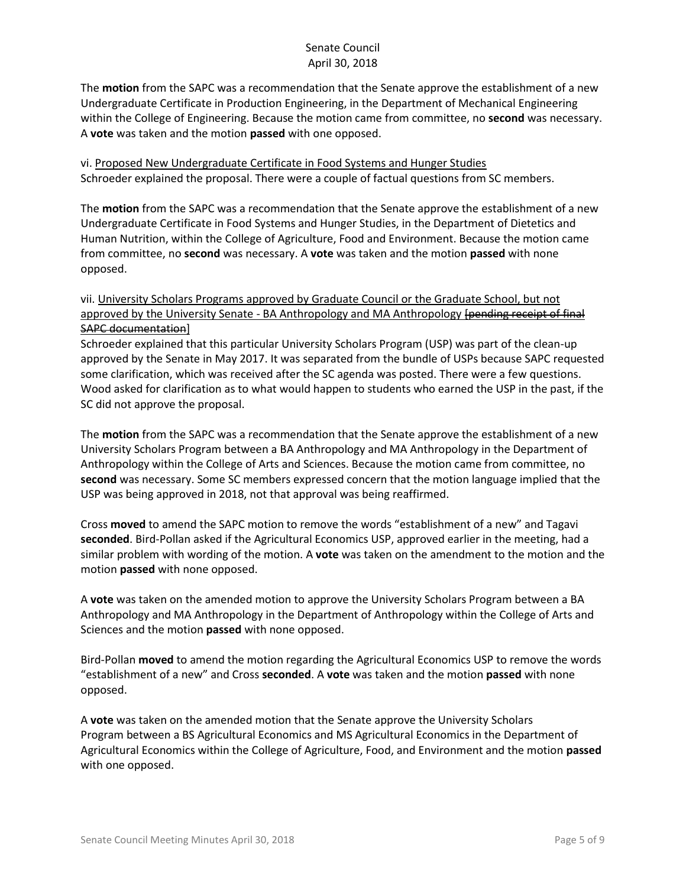The **motion** from the SAPC was a recommendation that the Senate approve the establishment of a new Undergraduate Certificate in Production Engineering, in the Department of Mechanical Engineering within the College of Engineering. Because the motion came from committee, no **second** was necessary. A **vote** was taken and the motion **passed** with one opposed.

vi. Proposed New Undergraduate Certificate in Food Systems and Hunger Studies Schroeder explained the proposal. There were a couple of factual questions from SC members.

The **motion** from the SAPC was a recommendation that the Senate approve the establishment of a new Undergraduate Certificate in Food Systems and Hunger Studies, in the Department of Dietetics and Human Nutrition, within the College of Agriculture, Food and Environment. Because the motion came from committee, no **second** was necessary. A **vote** was taken and the motion **passed** with none opposed.

# vii. University Scholars Programs approved by Graduate Council or the Graduate School, but not approved by the University Senate - BA Anthropology and MA Anthropology [pending receipt of final SAPC documentation]

Schroeder explained that this particular University Scholars Program (USP) was part of the clean-up approved by the Senate in May 2017. It was separated from the bundle of USPs because SAPC requested some clarification, which was received after the SC agenda was posted. There were a few questions. Wood asked for clarification as to what would happen to students who earned the USP in the past, if the SC did not approve the proposal.

The **motion** from the SAPC was a recommendation that the Senate approve the establishment of a new University Scholars Program between a BA Anthropology and MA Anthropology in the Department of Anthropology within the College of Arts and Sciences. Because the motion came from committee, no **second** was necessary. Some SC members expressed concern that the motion language implied that the USP was being approved in 2018, not that approval was being reaffirmed.

Cross **moved** to amend the SAPC motion to remove the words "establishment of a new" and Tagavi **seconded**. Bird-Pollan asked if the Agricultural Economics USP, approved earlier in the meeting, had a similar problem with wording of the motion. A **vote** was taken on the amendment to the motion and the motion **passed** with none opposed.

A **vote** was taken on the amended motion to approve the University Scholars Program between a BA Anthropology and MA Anthropology in the Department of Anthropology within the College of Arts and Sciences and the motion **passed** with none opposed.

Bird-Pollan **moved** to amend the motion regarding the Agricultural Economics USP to remove the words "establishment of a new" and Cross **seconded**. A **vote** was taken and the motion **passed** with none opposed.

A **vote** was taken on the amended motion that the Senate approve the University Scholars Program between a BS Agricultural Economics and MS Agricultural Economics in the Department of Agricultural Economics within the College of Agriculture, Food, and Environment and the motion **passed** with one opposed.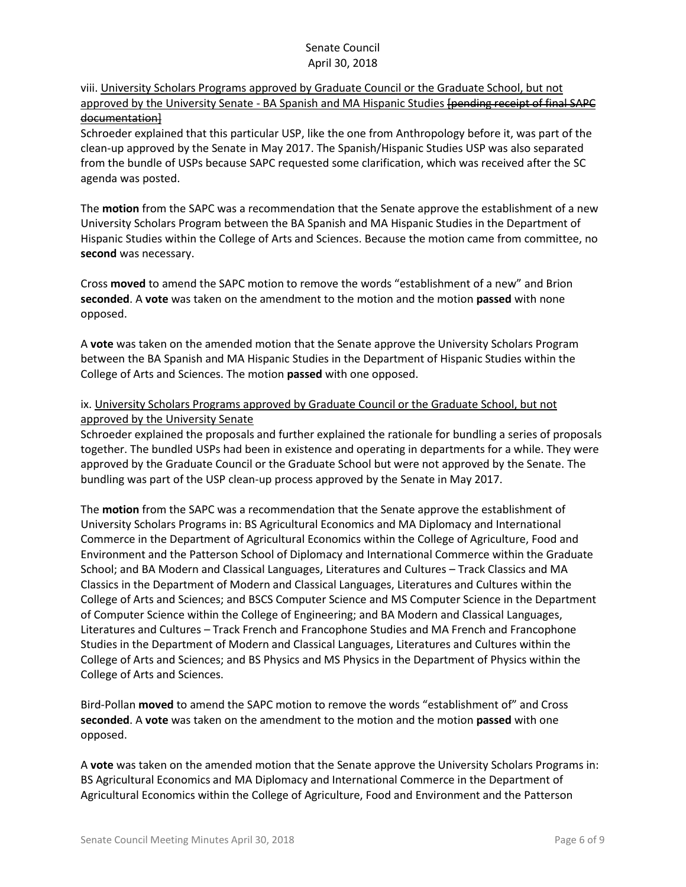### viii. University Scholars Programs approved by Graduate Council or the Graduate School, but not approved by the University Senate - BA Spanish and MA Hispanic Studies [pending receipt of final SAPC documentation]

Schroeder explained that this particular USP, like the one from Anthropology before it, was part of the clean-up approved by the Senate in May 2017. The Spanish/Hispanic Studies USP was also separated from the bundle of USPs because SAPC requested some clarification, which was received after the SC agenda was posted.

The **motion** from the SAPC was a recommendation that the Senate approve the establishment of a new University Scholars Program between the BA Spanish and MA Hispanic Studies in the Department of Hispanic Studies within the College of Arts and Sciences. Because the motion came from committee, no **second** was necessary.

Cross **moved** to amend the SAPC motion to remove the words "establishment of a new" and Brion **seconded**. A **vote** was taken on the amendment to the motion and the motion **passed** with none opposed.

A **vote** was taken on the amended motion that the Senate approve the University Scholars Program between the BA Spanish and MA Hispanic Studies in the Department of Hispanic Studies within the College of Arts and Sciences. The motion **passed** with one opposed.

# ix. University Scholars Programs approved by Graduate Council or the Graduate School, but not approved by the University Senate

Schroeder explained the proposals and further explained the rationale for bundling a series of proposals together. The bundled USPs had been in existence and operating in departments for a while. They were approved by the Graduate Council or the Graduate School but were not approved by the Senate. The bundling was part of the USP clean-up process approved by the Senate in May 2017.

The **motion** from the SAPC was a recommendation that the Senate approve the establishment of University Scholars Programs in: BS Agricultural Economics and MA Diplomacy and International Commerce in the Department of Agricultural Economics within the College of Agriculture, Food and Environment and the Patterson School of Diplomacy and International Commerce within the Graduate School; and BA Modern and Classical Languages, Literatures and Cultures – Track Classics and MA Classics in the Department of Modern and Classical Languages, Literatures and Cultures within the College of Arts and Sciences; and BSCS Computer Science and MS Computer Science in the Department of Computer Science within the College of Engineering; and BA Modern and Classical Languages, Literatures and Cultures – Track French and Francophone Studies and MA French and Francophone Studies in the Department of Modern and Classical Languages, Literatures and Cultures within the College of Arts and Sciences; and BS Physics and MS Physics in the Department of Physics within the College of Arts and Sciences.

Bird-Pollan **moved** to amend the SAPC motion to remove the words "establishment of" and Cross **seconded**. A **vote** was taken on the amendment to the motion and the motion **passed** with one opposed.

A **vote** was taken on the amended motion that the Senate approve the University Scholars Programs in: BS Agricultural Economics and MA Diplomacy and International Commerce in the Department of Agricultural Economics within the College of Agriculture, Food and Environment and the Patterson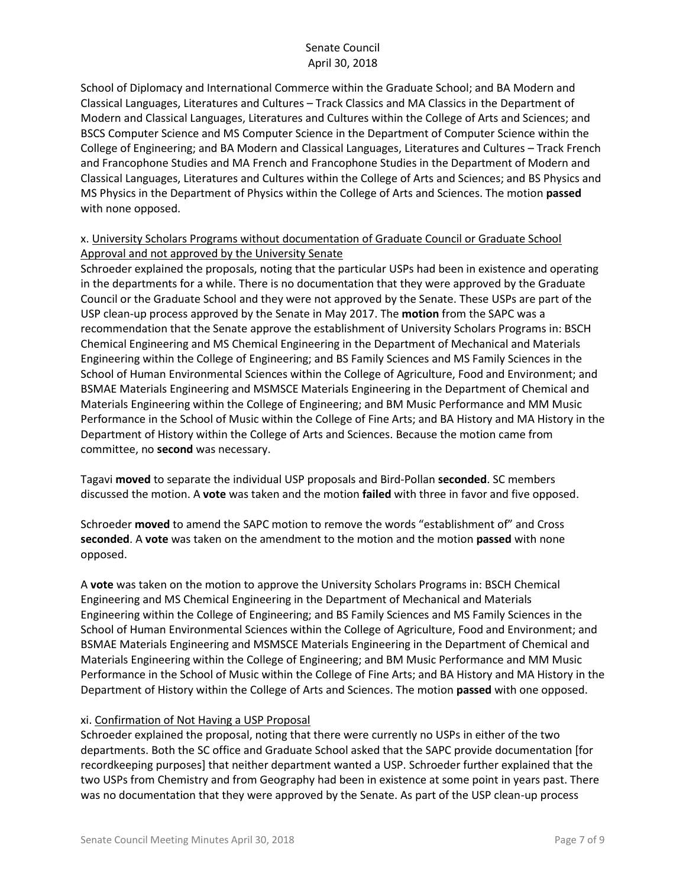School of Diplomacy and International Commerce within the Graduate School; and BA Modern and Classical Languages, Literatures and Cultures – Track Classics and MA Classics in the Department of Modern and Classical Languages, Literatures and Cultures within the College of Arts and Sciences; and BSCS Computer Science and MS Computer Science in the Department of Computer Science within the College of Engineering; and BA Modern and Classical Languages, Literatures and Cultures – Track French and Francophone Studies and MA French and Francophone Studies in the Department of Modern and Classical Languages, Literatures and Cultures within the College of Arts and Sciences; and BS Physics and MS Physics in the Department of Physics within the College of Arts and Sciences. The motion **passed**  with none opposed.

### x. University Scholars Programs without documentation of Graduate Council or Graduate School Approval and not approved by the University Senate

Schroeder explained the proposals, noting that the particular USPs had been in existence and operating in the departments for a while. There is no documentation that they were approved by the Graduate Council or the Graduate School and they were not approved by the Senate. These USPs are part of the USP clean-up process approved by the Senate in May 2017. The **motion** from the SAPC was a recommendation that the Senate approve the establishment of University Scholars Programs in: BSCH Chemical Engineering and MS Chemical Engineering in the Department of Mechanical and Materials Engineering within the College of Engineering; and BS Family Sciences and MS Family Sciences in the School of Human Environmental Sciences within the College of Agriculture, Food and Environment; and BSMAE Materials Engineering and MSMSCE Materials Engineering in the Department of Chemical and Materials Engineering within the College of Engineering; and BM Music Performance and MM Music Performance in the School of Music within the College of Fine Arts; and BA History and MA History in the Department of History within the College of Arts and Sciences. Because the motion came from committee, no **second** was necessary.

Tagavi **moved** to separate the individual USP proposals and Bird-Pollan **seconded**. SC members discussed the motion. A **vote** was taken and the motion **failed** with three in favor and five opposed.

Schroeder **moved** to amend the SAPC motion to remove the words "establishment of" and Cross **seconded**. A **vote** was taken on the amendment to the motion and the motion **passed** with none opposed.

A **vote** was taken on the motion to approve the University Scholars Programs in: BSCH Chemical Engineering and MS Chemical Engineering in the Department of Mechanical and Materials Engineering within the College of Engineering; and BS Family Sciences and MS Family Sciences in the School of Human Environmental Sciences within the College of Agriculture, Food and Environment; and BSMAE Materials Engineering and MSMSCE Materials Engineering in the Department of Chemical and Materials Engineering within the College of Engineering; and BM Music Performance and MM Music Performance in the School of Music within the College of Fine Arts; and BA History and MA History in the Department of History within the College of Arts and Sciences. The motion **passed** with one opposed.

#### xi. Confirmation of Not Having a USP Proposal

Schroeder explained the proposal, noting that there were currently no USPs in either of the two departments. Both the SC office and Graduate School asked that the SAPC provide documentation [for recordkeeping purposes] that neither department wanted a USP. Schroeder further explained that the two USPs from Chemistry and from Geography had been in existence at some point in years past. There was no documentation that they were approved by the Senate. As part of the USP clean-up process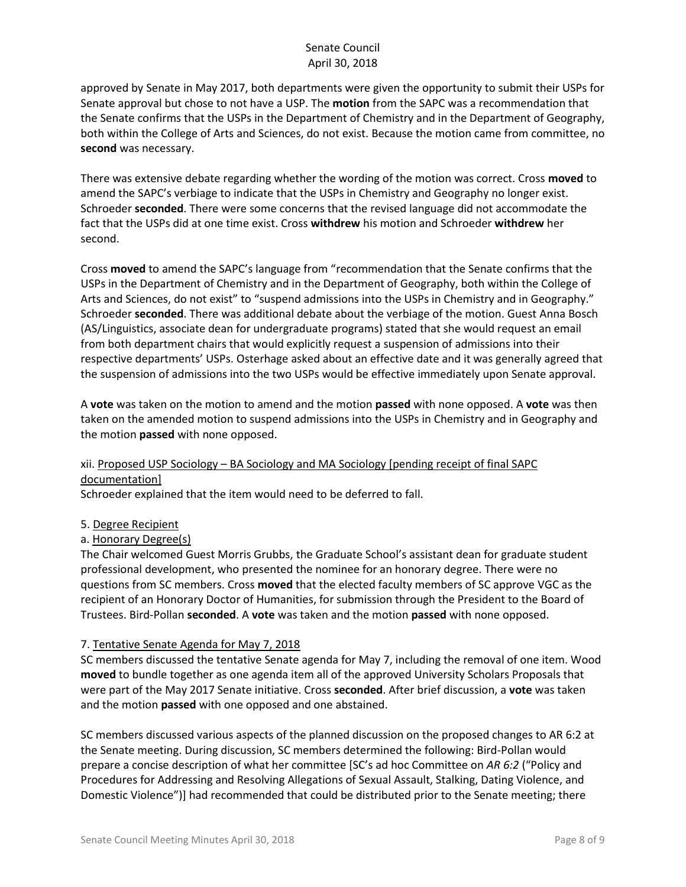approved by Senate in May 2017, both departments were given the opportunity to submit their USPs for Senate approval but chose to not have a USP. The **motion** from the SAPC was a recommendation that the Senate confirms that the USPs in the Department of Chemistry and in the Department of Geography, both within the College of Arts and Sciences, do not exist. Because the motion came from committee, no **second** was necessary.

There was extensive debate regarding whether the wording of the motion was correct. Cross **moved** to amend the SAPC's verbiage to indicate that the USPs in Chemistry and Geography no longer exist. Schroeder **seconded**. There were some concerns that the revised language did not accommodate the fact that the USPs did at one time exist. Cross **withdrew** his motion and Schroeder **withdrew** her second.

Cross **moved** to amend the SAPC's language from "recommendation that the Senate confirms that the USPs in the Department of Chemistry and in the Department of Geography, both within the College of Arts and Sciences, do not exist" to "suspend admissions into the USPs in Chemistry and in Geography." Schroeder **seconded**. There was additional debate about the verbiage of the motion. Guest Anna Bosch (AS/Linguistics, associate dean for undergraduate programs) stated that she would request an email from both department chairs that would explicitly request a suspension of admissions into their respective departments' USPs. Osterhage asked about an effective date and it was generally agreed that the suspension of admissions into the two USPs would be effective immediately upon Senate approval.

A **vote** was taken on the motion to amend and the motion **passed** with none opposed. A **vote** was then taken on the amended motion to suspend admissions into the USPs in Chemistry and in Geography and the motion **passed** with none opposed.

# xii. Proposed USP Sociology – BA Sociology and MA Sociology [pending receipt of final SAPC documentation]

Schroeder explained that the item would need to be deferred to fall.

- 5. Degree Recipient
- a. Honorary Degree(s)

The Chair welcomed Guest Morris Grubbs, the Graduate School's assistant dean for graduate student professional development, who presented the nominee for an honorary degree. There were no questions from SC members. Cross **moved** that the elected faculty members of SC approve VGC as the recipient of an Honorary Doctor of Humanities, for submission through the President to the Board of Trustees. Bird-Pollan **seconded**. A **vote** was taken and the motion **passed** with none opposed.

# 7. Tentative Senate Agenda for May 7, 2018

SC members discussed the tentative Senate agenda for May 7, including the removal of one item. Wood **moved** to bundle together as one agenda item all of the approved University Scholars Proposals that were part of the May 2017 Senate initiative. Cross **seconded**. After brief discussion, a **vote** was taken and the motion **passed** with one opposed and one abstained.

SC members discussed various aspects of the planned discussion on the proposed changes to AR 6:2 at the Senate meeting. During discussion, SC members determined the following: Bird-Pollan would prepare a concise description of what her committee [SC's ad hoc Committee on *AR 6:2* ("Policy and Procedures for Addressing and Resolving Allegations of Sexual Assault, Stalking, Dating Violence, and Domestic Violence")] had recommended that could be distributed prior to the Senate meeting; there